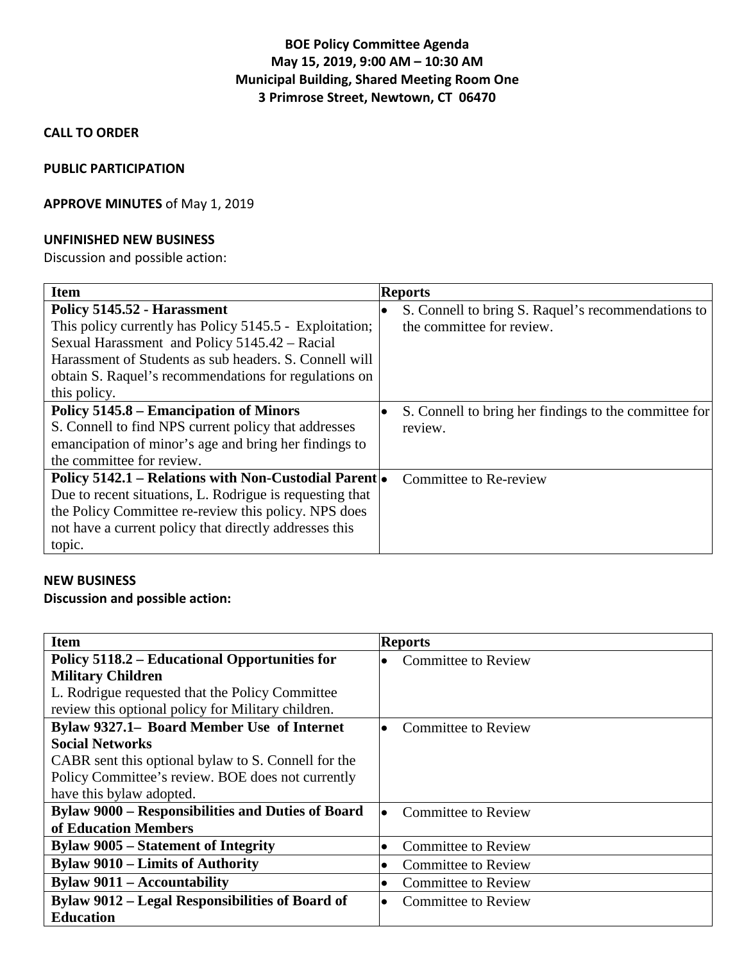## **BOE Policy Committee Agenda May 15, 2019, 9:00 AM – 10:30 AM Municipal Building, Shared Meeting Room One 3 Primrose Street, Newtown, CT 06470**

#### **CALL TO ORDER**

#### **PUBLIC PARTICIPATION**

### **APPROVE MINUTES** of May 1, 2019

#### **UNFINISHED NEW BUSINESS**

Discussion and possible action:

| <b>Item</b>                                              | <b>Reports</b>                                                  |
|----------------------------------------------------------|-----------------------------------------------------------------|
| Policy 5145.52 - Harassment                              | S. Connell to bring S. Raquel's recommendations to<br>$\bullet$ |
| This policy currently has Policy 5145.5 - Exploitation;  | the committee for review.                                       |
| Sexual Harassment and Policy 5145.42 – Racial            |                                                                 |
| Harassment of Students as sub headers. S. Connell will   |                                                                 |
| obtain S. Raquel's recommendations for regulations on    |                                                                 |
| this policy.                                             |                                                                 |
| Policy 5145.8 – Emancipation of Minors                   | S. Connell to bring her findings to the committee for           |
| S. Connell to find NPS current policy that addresses     | review.                                                         |
| emancipation of minor's age and bring her findings to    |                                                                 |
| the committee for review.                                |                                                                 |
| Policy 5142.1 – Relations with Non-Custodial Parent      | Committee to Re-review                                          |
| Due to recent situations, L. Rodrigue is requesting that |                                                                 |
| the Policy Committee re-review this policy. NPS does     |                                                                 |
| not have a current policy that directly addresses this   |                                                                 |
| topic.                                                   |                                                                 |

#### **NEW BUSINESS**

### **Discussion and possible action:**

| <b>Item</b>                                              | <b>Reports</b>                          |
|----------------------------------------------------------|-----------------------------------------|
| Policy 5118.2 – Educational Opportunities for            | <b>Committee to Review</b><br>$\bullet$ |
| <b>Military Children</b>                                 |                                         |
| L. Rodrigue requested that the Policy Committee          |                                         |
| review this optional policy for Military children.       |                                         |
| Bylaw 9327.1– Board Member Use of Internet               | Committee to Review<br>$\bullet$        |
| <b>Social Networks</b>                                   |                                         |
| CABR sent this optional bylaw to S. Connell for the      |                                         |
| Policy Committee's review. BOE does not currently        |                                         |
| have this bylaw adopted.                                 |                                         |
| <b>Bylaw 9000 – Responsibilities and Duties of Board</b> | <b>Committee to Review</b><br>$\bullet$ |
| of Education Members                                     |                                         |
| <b>Bylaw 9005 – Statement of Integrity</b>               | <b>Committee to Review</b><br>$\bullet$ |
| <b>Bylaw 9010 – Limits of Authority</b>                  | <b>Committee to Review</b><br>$\bullet$ |
| <b>Bylaw 9011 – Accountability</b>                       | <b>Committee to Review</b><br>$\bullet$ |
| Bylaw 9012 – Legal Responsibilities of Board of          | Committee to Review<br>$\bullet$        |
| <b>Education</b>                                         |                                         |